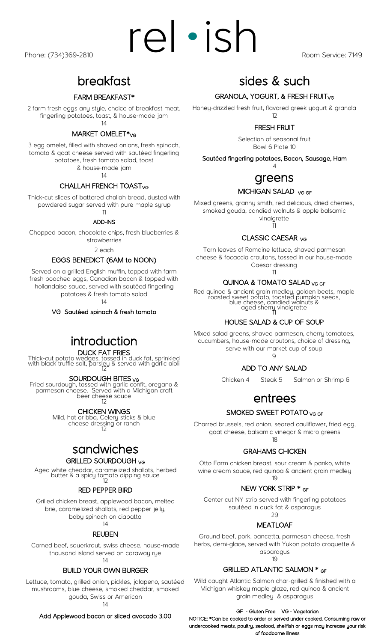## breakfast

#### FARM BREAKFAST\*

2 farm fresh eggs any style, choice of breakfast meat, fingerling potatoes, toast, & house-made jam 14

#### MARKET OMELET\*<sub>VG</sub>

3 egg omelet, filled with shaved onions, fresh spinach, tomato & goat cheese served with sautéed fingerling potatoes, fresh tomato salad, toast & house-made jam

14

#### CHALLAH FRENCH TOAST<sub>VG</sub>

Thick-cut slices of battered challah bread, dusted with powdered sugar served with pure maple syrup

#### 11 ADD-INS

Chopped bacon, chocolate chips, fresh blueberries & strawberries

2 each

#### EGGS BENEDICT (6AM to NOON)

Served on a grilled English muffin, topped with farm fresh poached eggs, Canadian bacon & topped with hollandaise sauce, served with sautéed fingerling potatoes & fresh tomato salad

14

VG Sautéed spinach & fresh tomato

## introduction

#### DUCK FAT FRIES

Thick-cut potato wedges, tossed in duck fat, sprinkled with black truffle salt, parsley & served with garlic aioli 12

#### SOURDOUGH BITES <sub>VG</sub>

Fried sourdough, tossed with garlic confit, oregano & parmesan cheese. Served with a Michigan craft beer cheese sauce 12

#### CHICKEN WINGS

Mild, hot or bbq. Celery sticks & blue cheese dressing or ranch 12

## sandwiches

#### GRILLED SOURDOUGH VG

Aged white cheddar, caramelized shallots, herbed butter & a spicy tomato dipping sauce 12

#### RED PEPPER BIRD

Grilled chicken breast, applewood bacon, melted brie, caramelized shallots, red pepper jelly, baby spinach on ciabatta

## 14

#### REUBEN

Corned beef, sauerkraut, swiss cheese, house-made thousand island served on caraway rye 14

#### BUILD YOUR OWN BURGER

Lettuce, tomato, grilled onion, pickles, jalapeno, sautéed mushrooms, blue cheese, smoked cheddar, smoked gouda, Swiss or American 14

Add Applewood bacon or sliced avocado 3.00

## sides & such

#### GRANOLA, YOGURT, & FRESH FRUIT<sub>VG</sub>

Honey-drizzled fresh fruit, flavored greek yogurt & granola 12

### FRESH FRUIT

Selection of seasonal fruit Bowl 6 Plate 10

Sautéed fingerling potatoes, Bacon, Sausage, Ham 4

## greens

#### MICHIGAN SALAD VG GF

Mixed greens, granny smith, red delicious, dried cherries, smoked gouda, candied walnuts & apple balsamic vinaigrette

11

#### CLASSIC CAESAR VG

Torn leaves of Romaine lettuce, shaved parmesan cheese & focaccia croutons, tossed in our house-made Caesar dressing

11

#### QUINOA & TOMATO SALAD VG GF

Red quinoa & ancient grain medley, golden beets, maple roasted sweet potato, toasted pumpkin seeds, blue cheese, candied walnuts & aged sherry vinaigrette 11

#### HOUSE SALAD & CUP OF SOUP

Mixed salad greens, shaved parmesan, cherry tomatoes, cucumbers, house-made croutons, choice of dressing, serve with our market cup of soup  $\Omega$ 

ADD TO ANY SALAD

Chicken 4 Steak 5 Salmon or Shrimp 6

# entrees

#### SMOKED SWEET POTATO VG GF

Charred brussels, red onion, seared cauliflower, fried egg, goat cheese, balsamic vinegar & micro greens 18

#### GRAHAMS CHICKEN

Otto Farm chicken breast, sour cream & panko, white wine cream sauce, red quinoa & ancient grain medley 19

#### NEW YORK STRIP \* GF

Center cut NY strip served with fingerling potatoes sautéed in duck fat & asparagus  $29$ 

## MEATLOAF

Ground beef, pork, pancetta, parmesan cheese, fresh herbs, demi-glace, served with Yukon potato croquette & asparagus

19

#### GRILLED ATLANTIC SALMON \* GF

Wild caught Atlantic Salmon char-grilled & finished with a Michigan whiskey maple glaze, red quinoa & ancient grain medley & asparagus

#### GF - Gluten Free VG - Vegetarian

NOTICE: \*Can be cooked to order or served under cooked. Consuming raw or undercooked meats, poultry, seafood, shellfish or eggs may increase your risk of foodborne illness